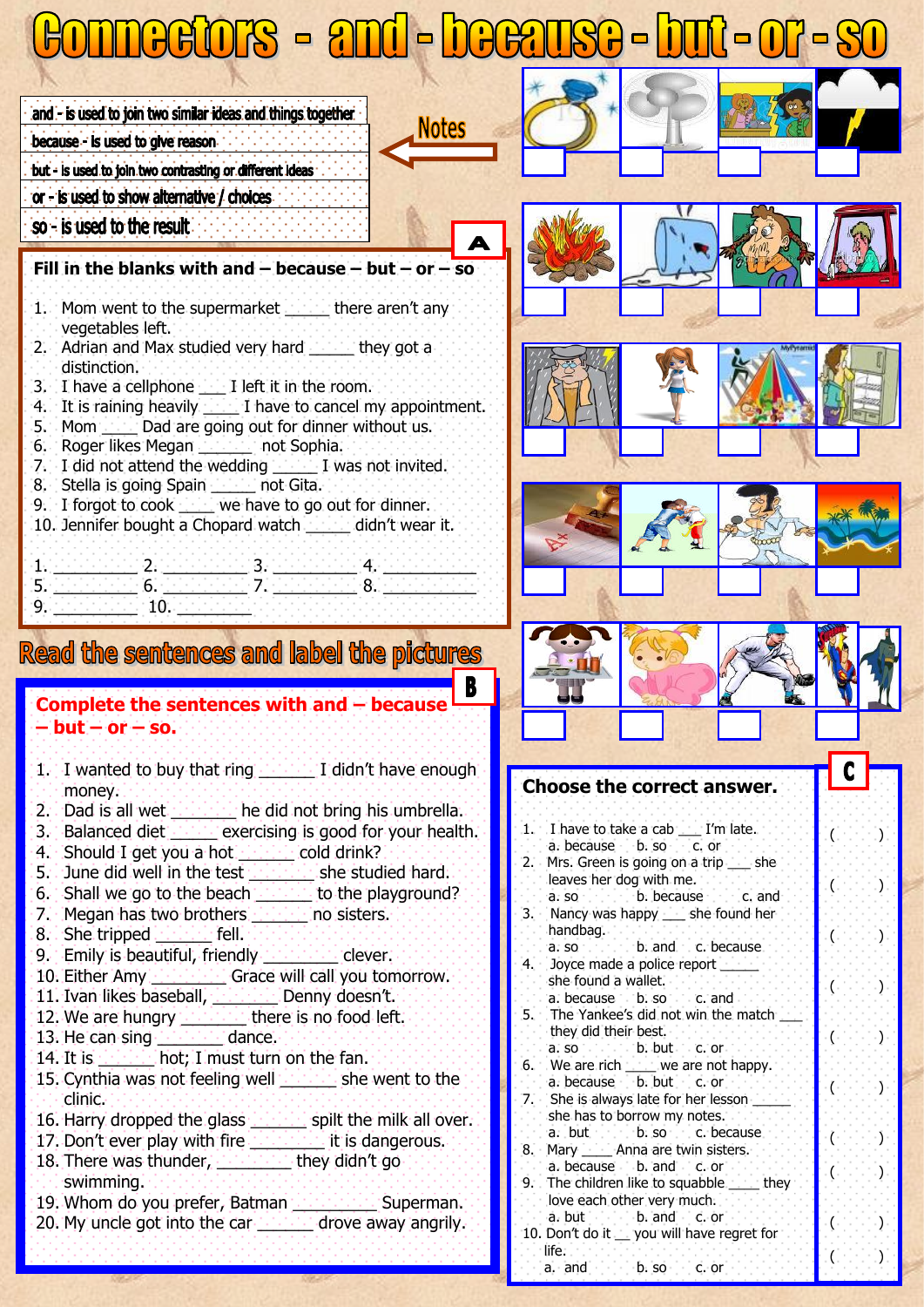## ONNOCIOIS - 2NÚ-DOC2USO-DUI-OI-8 and - is used to join two similar ideas and things together í because - is used to give reason. The contract of but - is used to join two contrasting or different ideas or - is used to show alternative / choices so - is used to the result **Fill in the blanks with and – because – but – or – so** 1. Mom went to the supermarket the there aren't any. vegetables left. 2. Adrian and Max studied very hard \_\_\_\_\_ they got a distinction. 3. I have a cellphone \_\_\_ I left it in the room. 4. It is raining heavily **I** have to cancel my appointment. 5. Mom \_\_\_\_ Dad are going out for dinner without us. 6. Roger likes Megan \_\_\_\_\_\_ not Sophia. 7. I did not attend the wedding \_\_\_\_\_ I was not invited. 8. Stella is going Spain \_\_\_\_\_ not Gita. 9. I forgot to cook \_\_\_\_ we have to go out for dinner. 10. Jennifer bought a Chopard watch \_\_\_\_\_ didn't wear it.  $1.$  , and the set of  $2.$  denoted the  $3$  denoted the  $4$  denoted the  $\alpha$ 5. \_\_\_\_\_\_\_\_\_ 6. \_\_\_\_\_\_\_\_\_ 7. \_\_\_\_\_\_\_\_\_ 8. \_\_\_\_\_\_\_\_\_\_  $9.$   $-10.$   $-1$ Read the sentences and label the pictures **Complete the sentences with and – because – but – or – so.**  1. I wanted to buy that ring  $\cdots$  I didn't have enough **Choose the correct answer.** money.

- 2. Dad is all wet \_\_\_\_\_\_\_ he did not bring his umbrella.
- 3. Balanced diet \_\_\_\_\_ exercising is good for your health.
- 4. Should I get you a hot **Allace cold drink?**
- 5. June did well in the test **we can be studied hard.**
- 6. Shall we go to the beach \_\_\_\_\_\_ to the playground?
- 7. Megan has two brothers **with the no sisters.**
- 8. She tripped **Allertain** fell.
- 9. Emily is beautiful, friendly **we can be clever.**
- 10. Either Amy **Electronic Grace will call you tomorrow.**
- 11. Ivan likes baseball, \_\_\_\_\_\_\_ Denny doesn't.
- 12. We are hungry **there** is no food left.
- 13. He can sing **with the dance.**
- 14. It is  $\frac{1}{2}$  hot; I must turn on the fan.
- 15. Cynthia was not feeling well \_\_\_\_\_\_ she went to the clinic.
- 16. Harry dropped the glass **we can spilt the milk all over.**
- 17. Don't ever play with fire **the contract it is dangerous.** 18. There was thunder, \_\_\_\_\_\_\_\_ they didn't go
- swimming. 19. Whom do you prefer, Batman **Fight Links** Superman.
- 20. My uncle got into the car **contract drove away angrily.**
- 1. I have to take a cab \_\_\_ I'm late. a. because b. so c. or 2. Mrs. Green is going on a trip \_\_\_ she leaves her dog with me. a. so c. c. b. because 3. Nancy was happy \_\_\_ she found her handbag. a. so b. and c. because 4. Joyce made a police report she found a wallet. a. because c. b. so c. c. and 5. The Yankee's did not win the match they did their best. a. so c. c. b. but c. or 6. We are rich \_\_\_\_ we are not happy. a. because b. but c. or 7. She is always late for her lesson

 $\left( \begin{array}{ccc} 0 & 0 & 0 \\ 0 & 0 & 0 \end{array} \right)$ 

 $\phi$  (  $\phi$  )  $\phi$  )  $\phi$ 

 $($ .  $($ .  $)$ .  $)$ 

 $\mathcal{L} \left( \begin{array}{ccc} 0 & 0 & 0 \\ 0 & 0 & 0 \\ 0 & 0 & 0 \end{array} \right)$ 

( )

( )

( )

 $\Gamma$  (  $\Gamma$  ,  $\Gamma$  ,  $\Gamma$  , )

 $($ .  $\cdots$ .  $)$ 

 $\overline{\phantom{a}}$ 

- she has to borrow my notes.<br>a. but b. so c. bec
- $\cdot$  b. so c. because 8. Mary - Anna are twin sisters.
- a. because b. and c. or
- 9. The children like to squabble \_\_\_\_ they love each other very much.
- a. but c. c. b. and c. c. or 10. Don't do it \_\_ you will have regret for life.<br>a. and
	- . b. so c. c. or